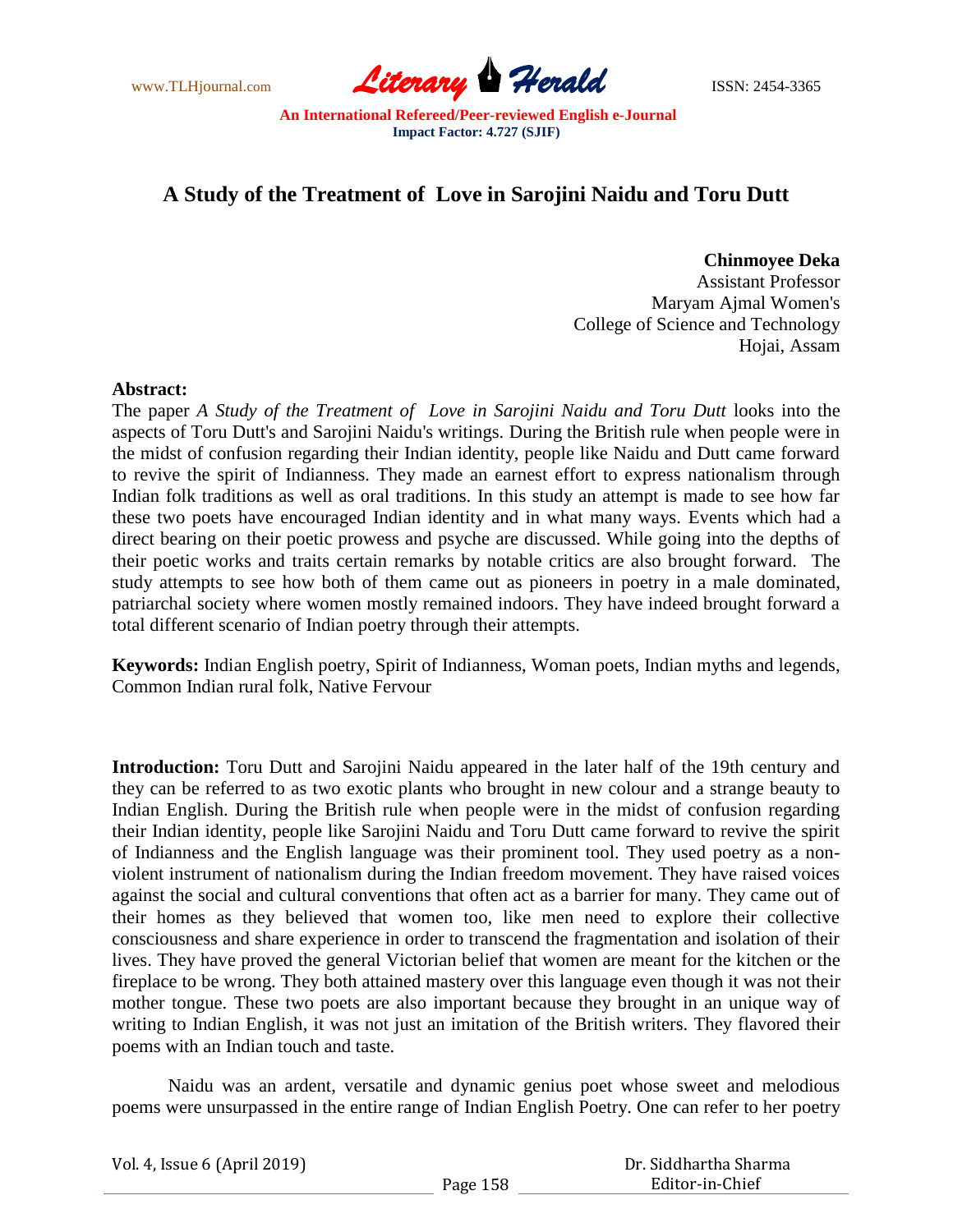www.TLHjournal.com **Literary Herald Herald ISSN: 2454-3365** 

# **A Study of the Treatment of Love in Sarojini Naidu and Toru Dutt**

**Chinmoyee Deka**

 Assistant Professor Maryam Ajmal Women's College of Science and Technology Hojai, Assam

#### **Abstract:**

The paper *A Study of the Treatment of Love in Sarojini Naidu and Toru Dutt* looks into the aspects of Toru Dutt's and Sarojini Naidu's writings. During the British rule when people were in the midst of confusion regarding their Indian identity, people like Naidu and Dutt came forward to revive the spirit of Indianness. They made an earnest effort to express nationalism through Indian folk traditions as well as oral traditions. In this study an attempt is made to see how far these two poets have encouraged Indian identity and in what many ways. Events which had a direct bearing on their poetic prowess and psyche are discussed. While going into the depths of their poetic works and traits certain remarks by notable critics are also brought forward. The study attempts to see how both of them came out as pioneers in poetry in a male dominated, patriarchal society where women mostly remained indoors. They have indeed brought forward a total different scenario of Indian poetry through their attempts.

**Keywords:** Indian English poetry, Spirit of Indianness, Woman poets, Indian myths and legends, Common Indian rural folk, Native Fervour

**Introduction:** Toru Dutt and Sarojini Naidu appeared in the later half of the 19th century and they can be referred to as two exotic plants who brought in new colour and a strange beauty to Indian English. During the British rule when people were in the midst of confusion regarding their Indian identity, people like Sarojini Naidu and Toru Dutt came forward to revive the spirit of Indianness and the English language was their prominent tool. They used poetry as a nonviolent instrument of nationalism during the Indian freedom movement. They have raised voices against the social and cultural conventions that often act as a barrier for many. They came out of their homes as they believed that women too, like men need to explore their collective consciousness and share experience in order to transcend the fragmentation and isolation of their lives. They have proved the general Victorian belief that women are meant for the kitchen or the fireplace to be wrong. They both attained mastery over this language even though it was not their mother tongue. These two poets are also important because they brought in an unique way of writing to Indian English, it was not just an imitation of the British writers. They flavored their poems with an Indian touch and taste.

Naidu was an ardent, versatile and dynamic genius poet whose sweet and melodious poems were unsurpassed in the entire range of Indian English Poetry. One can refer to her poetry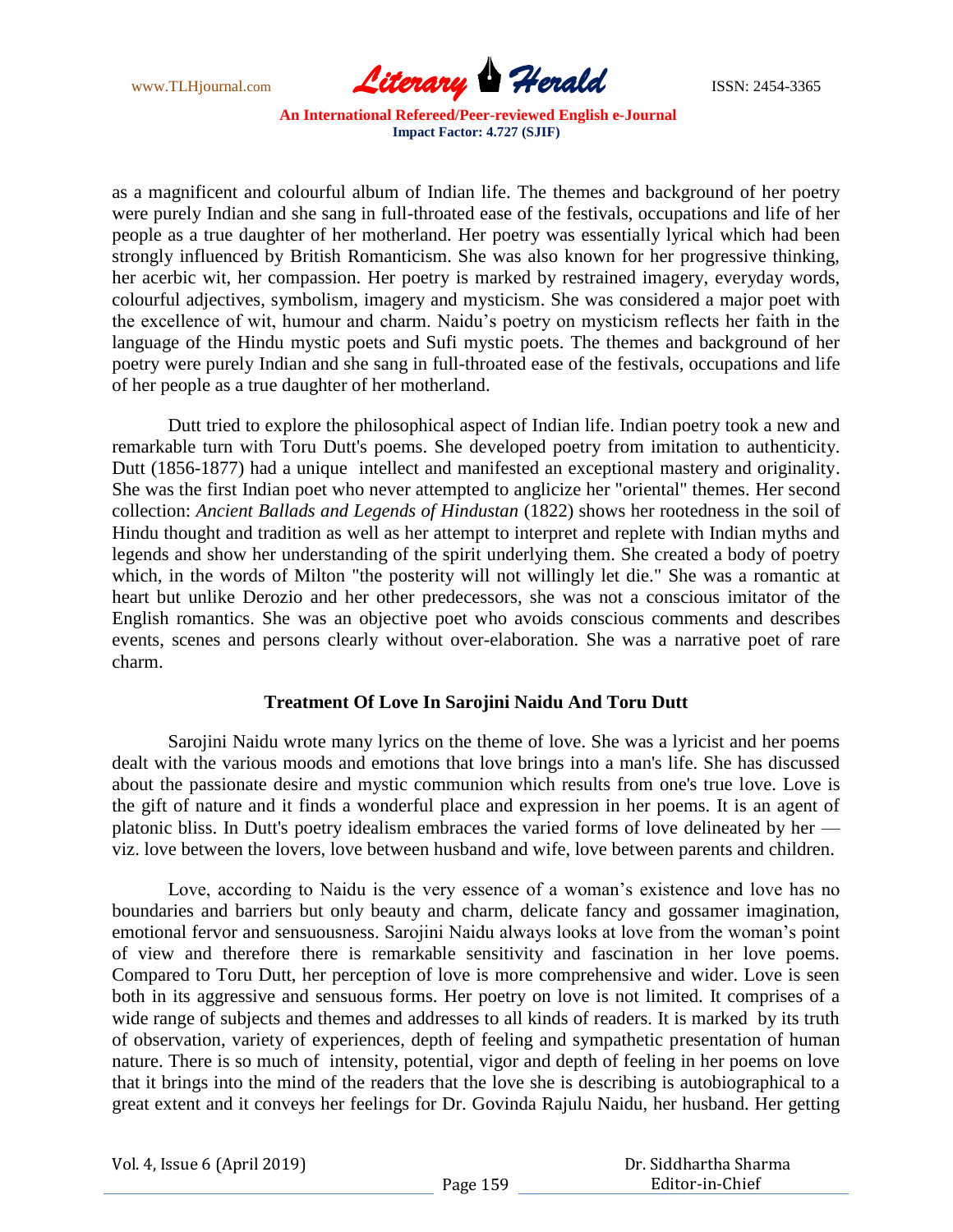

as a magnificent and colourful album of Indian life. The themes and background of her poetry were purely Indian and she sang in full-throated ease of the festivals, occupations and life of her people as a true daughter of her motherland. Her poetry was essentially lyrical which had been strongly influenced by British Romanticism. She was also known for her progressive thinking, her acerbic wit, her compassion. Her poetry is marked by restrained imagery, everyday words, colourful adjectives, symbolism, imagery and mysticism. She was considered a major poet with the excellence of wit, humour and charm. Naidu"s poetry on mysticism reflects her faith in the language of the Hindu mystic poets and Sufi mystic poets. The themes and background of her poetry were purely Indian and she sang in full-throated ease of the festivals, occupations and life of her people as a true daughter of her motherland.

Dutt tried to explore the philosophical aspect of Indian life. Indian poetry took a new and remarkable turn with Toru Dutt's poems. She developed poetry from imitation to authenticity. Dutt (1856-1877) had a unique intellect and manifested an exceptional mastery and originality. She was the first Indian poet who never attempted to anglicize her "oriental" themes. Her second collection: *Ancient Ballads and Legends of Hindustan* (1822) shows her rootedness in the soil of Hindu thought and tradition as well as her attempt to interpret and replete with Indian myths and legends and show her understanding of the spirit underlying them. She created a body of poetry which, in the words of Milton "the posterity will not willingly let die." She was a romantic at heart but unlike Derozio and her other predecessors, she was not a conscious imitator of the English romantics. She was an objective poet who avoids conscious comments and describes events, scenes and persons clearly without over-elaboration. She was a narrative poet of rare charm.

#### **Treatment Of Love In Sarojini Naidu And Toru Dutt**

Sarojini Naidu wrote many lyrics on the theme of love. She was a lyricist and her poems dealt with the various moods and emotions that love brings into a man's life. She has discussed about the passionate desire and mystic communion which results from one's true love. Love is the gift of nature and it finds a wonderful place and expression in her poems. It is an agent of platonic bliss. In Dutt's poetry idealism embraces the varied forms of love delineated by her viz. love between the lovers, love between husband and wife, love between parents and children.

Love, according to Naidu is the very essence of a woman's existence and love has no boundaries and barriers but only beauty and charm, delicate fancy and gossamer imagination, emotional fervor and sensuousness. Sarojini Naidu always looks at love from the woman"s point of view and therefore there is remarkable sensitivity and fascination in her love poems. Compared to Toru Dutt, her perception of love is more comprehensive and wider. Love is seen both in its aggressive and sensuous forms. Her poetry on love is not limited. It comprises of a wide range of subjects and themes and addresses to all kinds of readers. It is marked by its truth of observation, variety of experiences, depth of feeling and sympathetic presentation of human nature. There is so much of intensity, potential, vigor and depth of feeling in her poems on love that it brings into the mind of the readers that the love she is describing is autobiographical to a great extent and it conveys her feelings for Dr. Govinda Rajulu Naidu, her husband. Her getting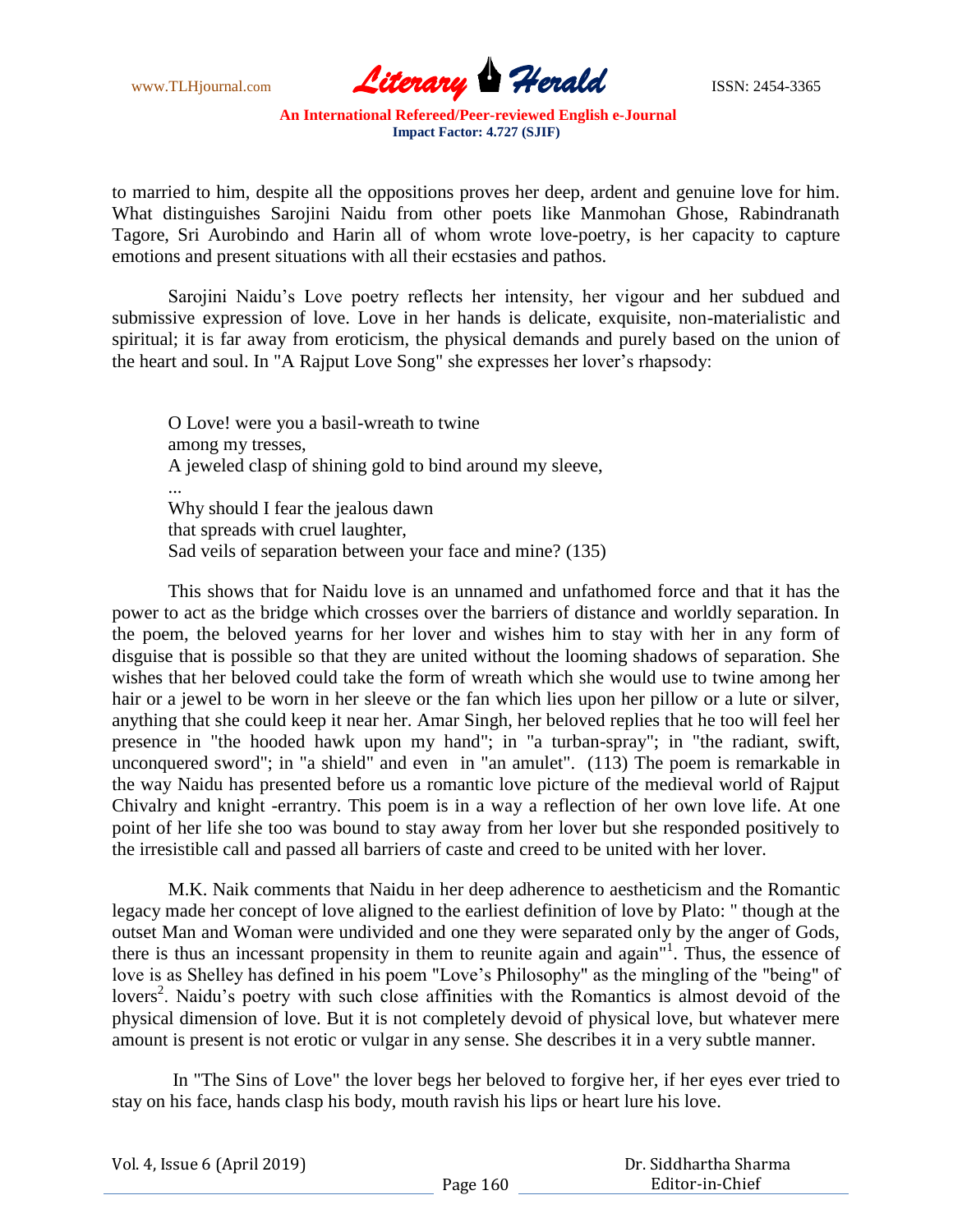

to married to him, despite all the oppositions proves her deep, ardent and genuine love for him. What distinguishes Sarojini Naidu from other poets like Manmohan Ghose, Rabindranath Tagore, Sri Aurobindo and Harin all of whom wrote love-poetry, is her capacity to capture emotions and present situations with all their ecstasies and pathos.

Sarojini Naidu"s Love poetry reflects her intensity, her vigour and her subdued and submissive expression of love. Love in her hands is delicate, exquisite, non-materialistic and spiritual; it is far away from eroticism, the physical demands and purely based on the union of the heart and soul. In "A Rajput Love Song" she expresses her lover"s rhapsody:

O Love! were you a basil-wreath to twine among my tresses, A jeweled clasp of shining gold to bind around my sleeve, ... Why should I fear the jealous dawn that spreads with cruel laughter, Sad veils of separation between your face and mine? (135)

This shows that for Naidu love is an unnamed and unfathomed force and that it has the power to act as the bridge which crosses over the barriers of distance and worldly separation. In the poem, the beloved yearns for her lover and wishes him to stay with her in any form of disguise that is possible so that they are united without the looming shadows of separation. She wishes that her beloved could take the form of wreath which she would use to twine among her hair or a jewel to be worn in her sleeve or the fan which lies upon her pillow or a lute or silver, anything that she could keep it near her. Amar Singh, her beloved replies that he too will feel her presence in "the hooded hawk upon my hand"; in "a turban-spray"; in "the radiant, swift, unconquered sword"; in "a shield" and even in "an amulet". (113) The poem is remarkable in the way Naidu has presented before us a romantic love picture of the medieval world of Rajput Chivalry and knight -errantry. This poem is in a way a reflection of her own love life. At one point of her life she too was bound to stay away from her lover but she responded positively to the irresistible call and passed all barriers of caste and creed to be united with her lover.

M.K. Naik comments that Naidu in her deep adherence to aestheticism and the Romantic legacy made her concept of love aligned to the earliest definition of love by Plato: " though at the outset Man and Woman were undivided and one they were separated only by the anger of Gods, there is thus an incessant propensity in them to reunite again and again<sup>"1</sup>. Thus, the essence of love is as Shelley has defined in his poem "Love"s Philosophy" as the mingling of the "being" of lovers<sup>2</sup>. Naidu's poetry with such close affinities with the Romantics is almost devoid of the physical dimension of love. But it is not completely devoid of physical love, but whatever mere amount is present is not erotic or vulgar in any sense. She describes it in a very subtle manner.

In "The Sins of Love" the lover begs her beloved to forgive her, if her eyes ever tried to stay on his face, hands clasp his body, mouth ravish his lips or heart lure his love.

| Vol. 4, Issue 6 (April 2019) |          | Dr. Siddhartha Sharma |
|------------------------------|----------|-----------------------|
|                              | Page 160 | Editor-in-Chief       |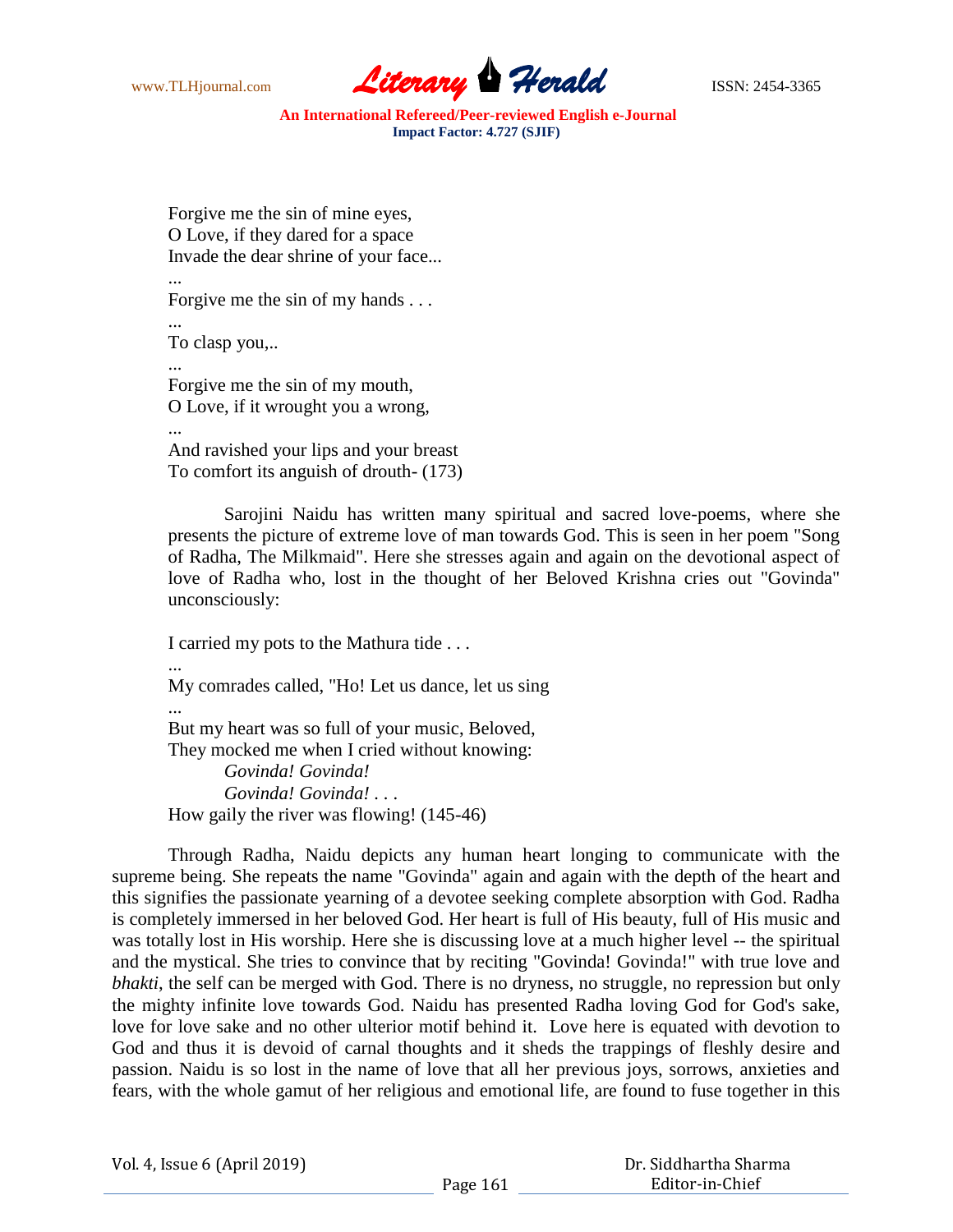

Forgive me the sin of mine eyes, O Love, if they dared for a space Invade the dear shrine of your face...

... Forgive me the sin of my hands . . . ... To clasp you,.. ... Forgive me the sin of my mouth, O Love, if it wrought you a wrong, ...

And ravished your lips and your breast To comfort its anguish of drouth- (173)

Sarojini Naidu has written many spiritual and sacred love-poems, where she presents the picture of extreme love of man towards God. This is seen in her poem "Song of Radha, The Milkmaid". Here she stresses again and again on the devotional aspect of love of Radha who, lost in the thought of her Beloved Krishna cries out "Govinda" unconsciously:

I carried my pots to the Mathura tide . . .

... My comrades called, "Ho! Let us dance, let us sing ... But my heart was so full of your music, Beloved, They mocked me when I cried without knowing: *Govinda! Govinda! Govinda! Govinda! . .* . How gaily the river was flowing! (145-46)

Through Radha, Naidu depicts any human heart longing to communicate with the supreme being. She repeats the name "Govinda" again and again with the depth of the heart and this signifies the passionate yearning of a devotee seeking complete absorption with God. Radha is completely immersed in her beloved God. Her heart is full of His beauty, full of His music and was totally lost in His worship. Here she is discussing love at a much higher level -- the spiritual and the mystical. She tries to convince that by reciting "Govinda! Govinda!" with true love and *bhakti*, the self can be merged with God. There is no dryness, no struggle, no repression but only the mighty infinite love towards God. Naidu has presented Radha loving God for God's sake, love for love sake and no other ulterior motif behind it. Love here is equated with devotion to God and thus it is devoid of carnal thoughts and it sheds the trappings of fleshly desire and passion. Naidu is so lost in the name of love that all her previous joys, sorrows, anxieties and fears, with the whole gamut of her religious and emotional life, are found to fuse together in this

| Vol. 4, Issue 6 (April 2019) |  |  |
|------------------------------|--|--|
|------------------------------|--|--|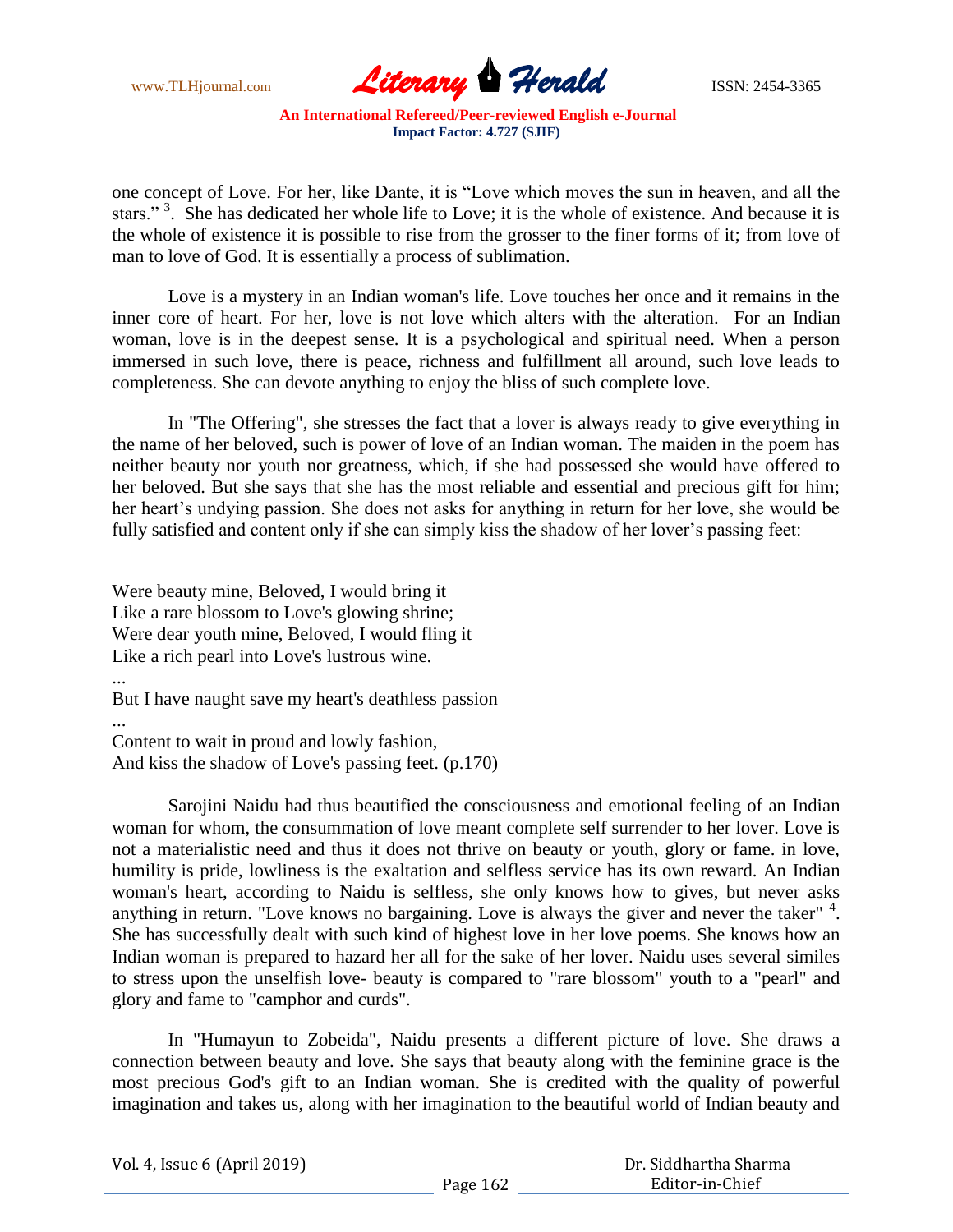

one concept of Love. For her, like Dante, it is "Love which moves the sun in heaven, and all the stars."<sup>3</sup>. She has dedicated her whole life to Love; it is the whole of existence. And because it is the whole of existence it is possible to rise from the grosser to the finer forms of it; from love of man to love of God. It is essentially a process of sublimation.

Love is a mystery in an Indian woman's life. Love touches her once and it remains in the inner core of heart. For her, love is not love which alters with the alteration. For an Indian woman, love is in the deepest sense. It is a psychological and spiritual need. When a person immersed in such love, there is peace, richness and fulfillment all around, such love leads to completeness. She can devote anything to enjoy the bliss of such complete love.

In "The Offering"*,* she stresses the fact that a lover is always ready to give everything in the name of her beloved, such is power of love of an Indian woman. The maiden in the poem has neither beauty nor youth nor greatness, which, if she had possessed she would have offered to her beloved. But she says that she has the most reliable and essential and precious gift for him; her heart's undying passion. She does not asks for anything in return for her love, she would be fully satisfied and content only if she can simply kiss the shadow of her lover's passing feet:

Were beauty mine, Beloved, I would bring it Like a rare blossom to Love's glowing shrine; Were dear youth mine, Beloved, I would fling it Like a rich pearl into Love's lustrous wine. ...

But I have naught save my heart's deathless passion

... Content to wait in proud and lowly fashion, And kiss the shadow of Love's passing feet. (p.170)

Sarojini Naidu had thus beautified the consciousness and emotional feeling of an Indian woman for whom, the consummation of love meant complete self surrender to her lover. Love is not a materialistic need and thus it does not thrive on beauty or youth, glory or fame. in love, humility is pride, lowliness is the exaltation and selfless service has its own reward. An Indian woman's heart, according to Naidu is selfless, she only knows how to gives, but never asks anything in return. "Love knows no bargaining. Love is always the giver and never the taker"<sup>4</sup>. She has successfully dealt with such kind of highest love in her love poems. She knows how an Indian woman is prepared to hazard her all for the sake of her lover. Naidu uses several similes to stress upon the unselfish love- beauty is compared to "rare blossom" youth to a "pearl" and glory and fame to "camphor and curds".

In "Humayun to Zobeida", Naidu presents a different picture of love. She draws a connection between beauty and love. She says that beauty along with the feminine grace is the most precious God's gift to an Indian woman. She is credited with the quality of powerful imagination and takes us, along with her imagination to the beautiful world of Indian beauty and

Vol. 4, Issue 6 (April 2019)

 Dr. Siddhartha Sharma Editor-in-Chief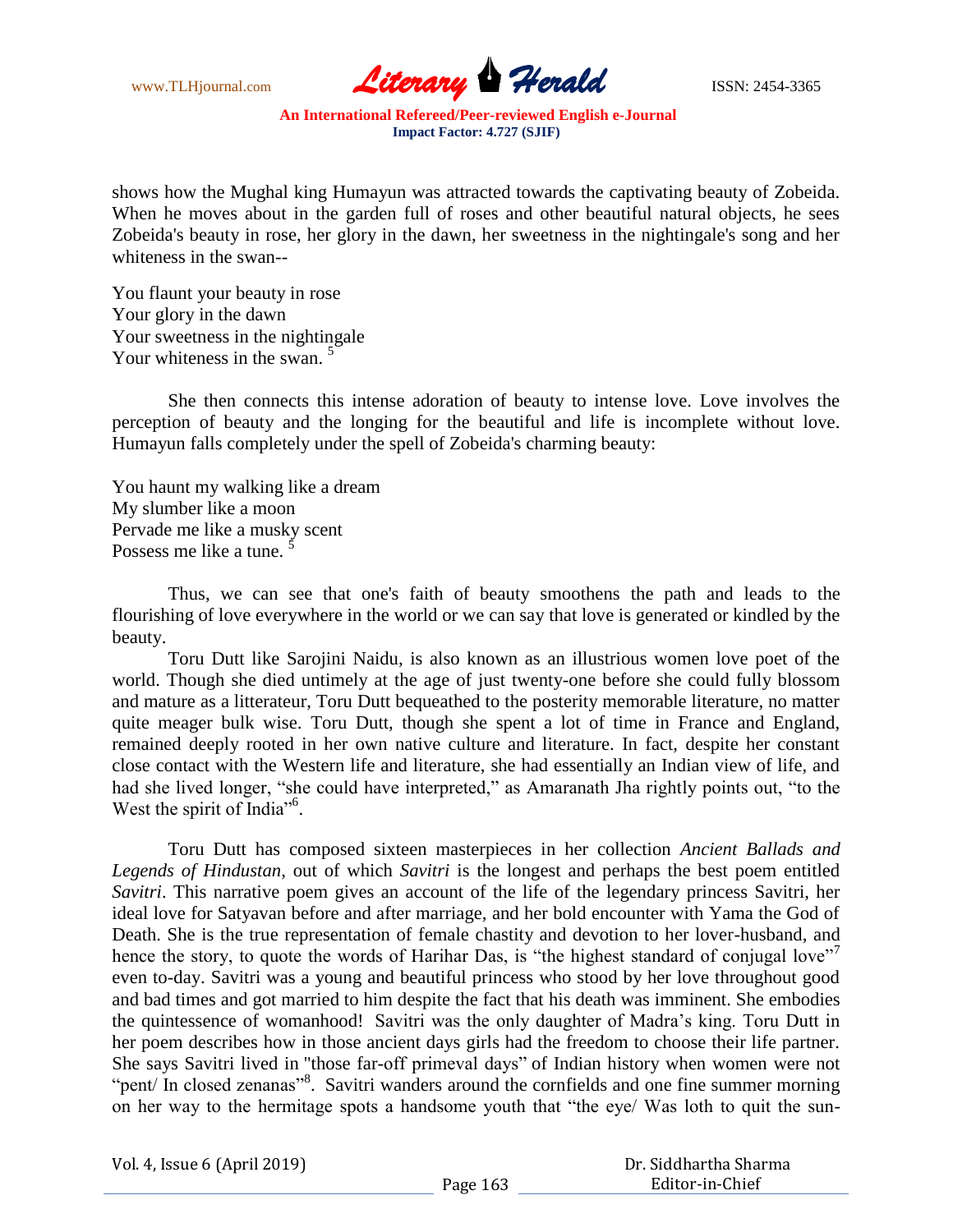

shows how the Mughal king Humayun was attracted towards the captivating beauty of Zobeida. When he moves about in the garden full of roses and other beautiful natural objects, he sees Zobeida's beauty in rose, her glory in the dawn, her sweetness in the nightingale's song and her whiteness in the swan--

You flaunt your beauty in rose Your glory in the dawn Your sweetness in the nightingale Your whiteness in the swan.<sup>5</sup>

She then connects this intense adoration of beauty to intense love. Love involves the perception of beauty and the longing for the beautiful and life is incomplete without love. Humayun falls completely under the spell of Zobeida's charming beauty:

You haunt my walking like a dream My slumber like a moon Pervade me like a musky scent Possess me like a tune.

Thus, we can see that one's faith of beauty smoothens the path and leads to the flourishing of love everywhere in the world or we can say that love is generated or kindled by the beauty.

Toru Dutt like Sarojini Naidu, is also known as an illustrious women love poet of the world. Though she died untimely at the age of just twenty-one before she could fully blossom and mature as a litterateur, Toru Dutt bequeathed to the posterity memorable literature, no matter quite meager bulk wise. Toru Dutt, though she spent a lot of time in France and England, remained deeply rooted in her own native culture and literature. In fact, despite her constant close contact with the Western life and literature, she had essentially an Indian view of life, and had she lived longer, "she could have interpreted," as Amaranath Jha rightly points out, "to the West the spirit of India"<sup>6</sup>.

Toru Dutt has composed sixteen masterpieces in her collection *Ancient Ballads and Legends of Hindustan*, out of which *Savitri* is the longest and perhaps the best poem entitled *Savitri*. This narrative poem gives an account of the life of the legendary princess Savitri, her ideal love for Satyavan before and after marriage, and her bold encounter with Yama the God of Death. She is the true representation of female chastity and devotion to her lover-husband, and hence the story, to quote the words of Harihar Das, is "the highest standard of conjugal love" even to-day. Savitri was a young and beautiful princess who stood by her love throughout good and bad times and got married to him despite the fact that his death was imminent. She embodies the quintessence of womanhood! Savitri was the only daughter of Madra"s king. Toru Dutt in her poem describes how in those ancient days girls had the freedom to choose their life partner. She says Savitri lived in "those far-off primeval days" of Indian history when women were not "pent/ In closed zenanas"<sup>8</sup>. Savitri wanders around the cornfields and one fine summer morning on her way to the hermitage spots a handsome youth that "the eye/ Was loth to quit the sun-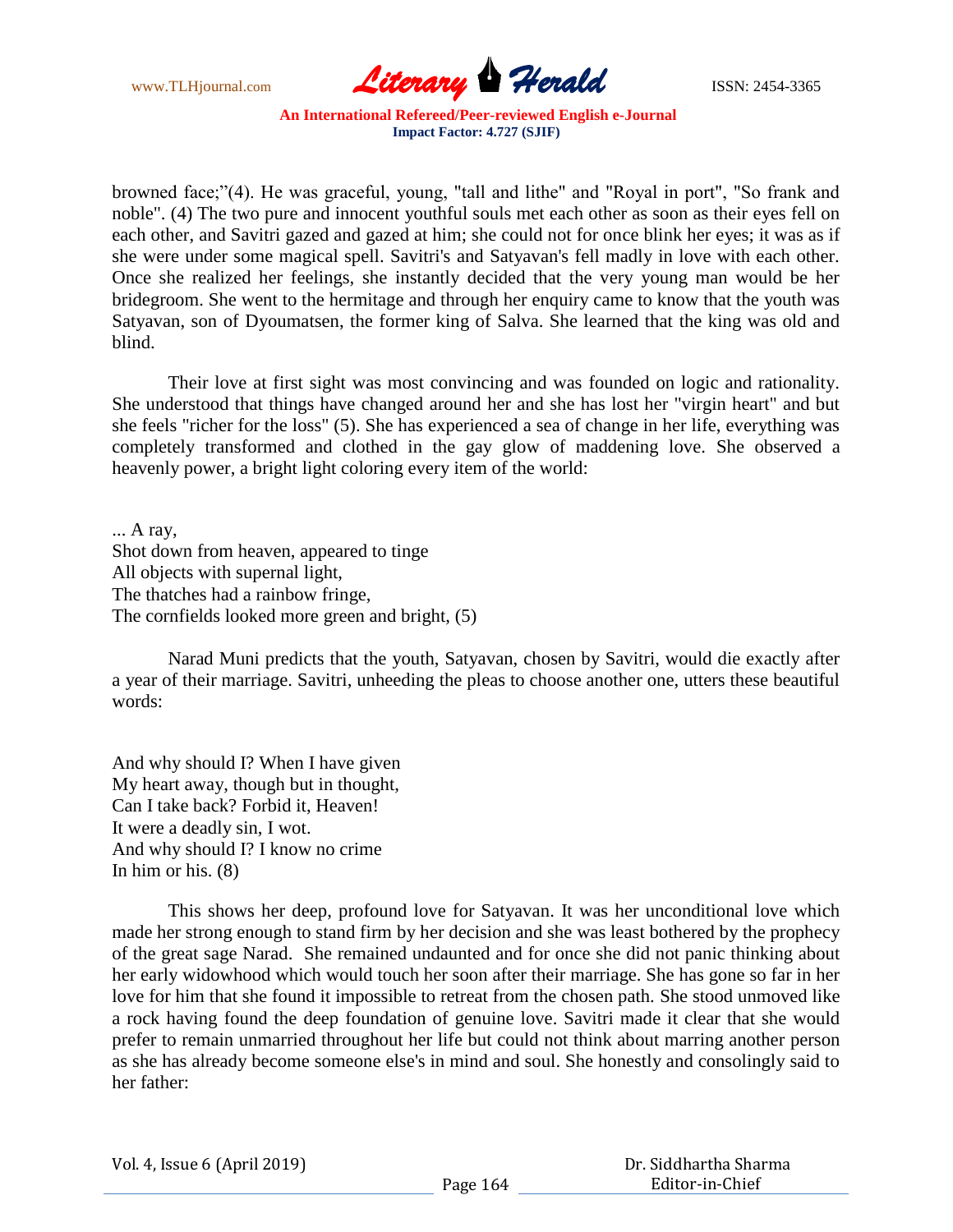

browned face;"(4). He was graceful, young, "tall and lithe" and "Royal in port", "So frank and noble". (4) The two pure and innocent youthful souls met each other as soon as their eyes fell on each other, and Savitri gazed and gazed at him; she could not for once blink her eyes; it was as if she were under some magical spell. Savitri's and Satyavan's fell madly in love with each other. Once she realized her feelings, she instantly decided that the very young man would be her bridegroom. She went to the hermitage and through her enquiry came to know that the youth was Satyavan, son of Dyoumatsen, the former king of Salva. She learned that the king was old and blind.

Their love at first sight was most convincing and was founded on logic and rationality. She understood that things have changed around her and she has lost her "virgin heart" and but she feels "richer for the loss" (5). She has experienced a sea of change in her life, everything was completely transformed and clothed in the gay glow of maddening love. She observed a heavenly power, a bright light coloring every item of the world:

... A ray, Shot down from heaven, appeared to tinge All objects with supernal light, The thatches had a rainbow fringe, The cornfields looked more green and bright, (5)

Narad Muni predicts that the youth, Satyavan, chosen by Savitri, would die exactly after a year of their marriage. Savitri, unheeding the pleas to choose another one, utters these beautiful words:

And why should I? When I have given My heart away, though but in thought, Can I take back? Forbid it, Heaven! It were a deadly sin, I wot. And why should I? I know no crime In him or his. (8)

This shows her deep, profound love for Satyavan. It was her unconditional love which made her strong enough to stand firm by her decision and she was least bothered by the prophecy of the great sage Narad. She remained undaunted and for once she did not panic thinking about her early widowhood which would touch her soon after their marriage. She has gone so far in her love for him that she found it impossible to retreat from the chosen path. She stood unmoved like a rock having found the deep foundation of genuine love. Savitri made it clear that she would prefer to remain unmarried throughout her life but could not think about marring another person as she has already become someone else's in mind and soul. She honestly and consolingly said to her father: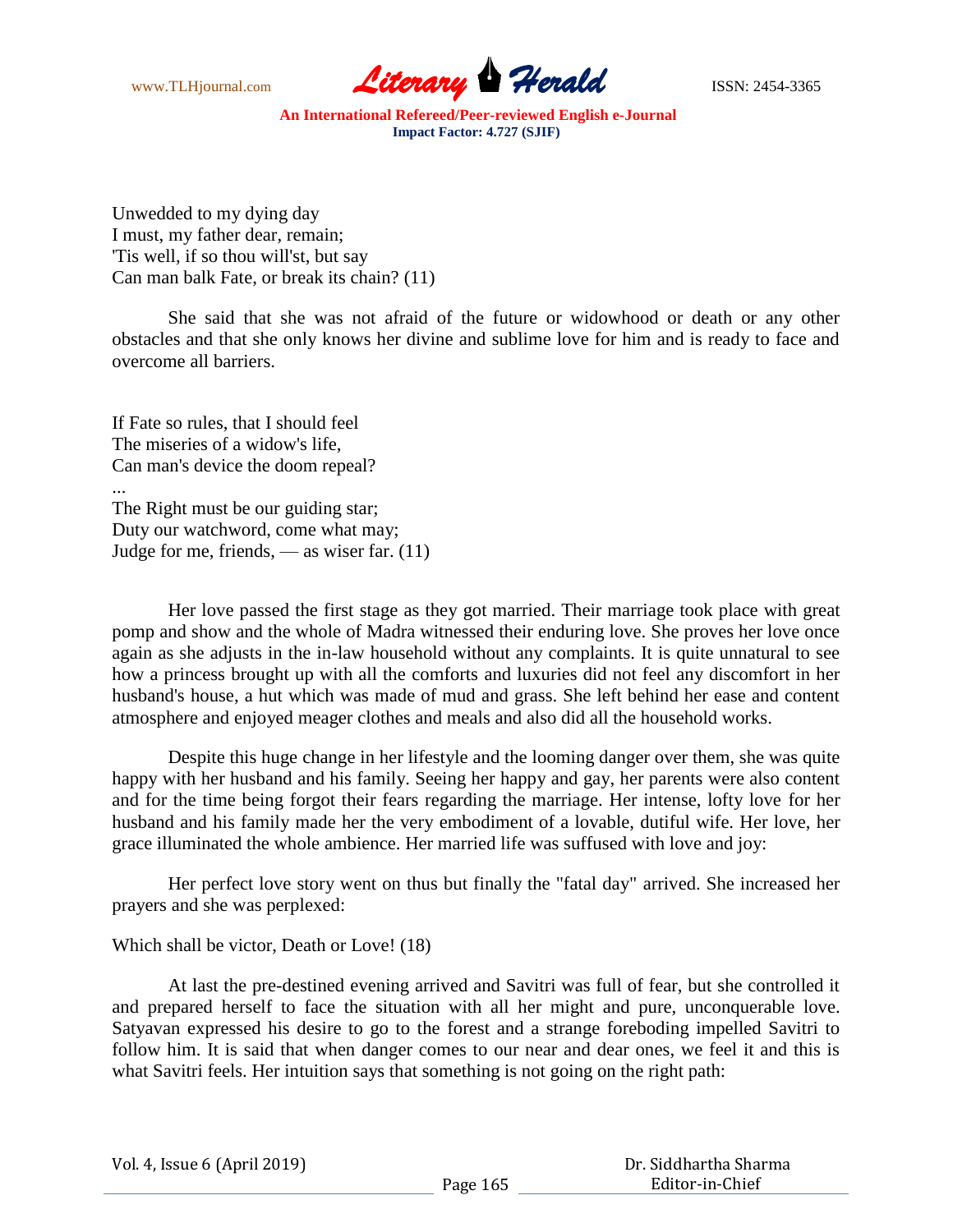

Unwedded to my dying day I must, my father dear, remain; 'Tis well, if so thou will'st, but say Can man balk Fate, or break its chain? (11)

She said that she was not afraid of the future or widowhood or death or any other obstacles and that she only knows her divine and sublime love for him and is ready to face and overcome all barriers.

If Fate so rules, that I should feel The miseries of a widow's life, Can man's device the doom repeal? ... The Right must be our guiding star; Duty our watchword, come what may; Judge for me, friends,  $\_\$ as wiser far. (11)

Her love passed the first stage as they got married. Their marriage took place with great pomp and show and the whole of Madra witnessed their enduring love. She proves her love once again as she adjusts in the in-law household without any complaints. It is quite unnatural to see how a princess brought up with all the comforts and luxuries did not feel any discomfort in her husband's house, a hut which was made of mud and grass. She left behind her ease and content atmosphere and enjoyed meager clothes and meals and also did all the household works.

Despite this huge change in her lifestyle and the looming danger over them, she was quite happy with her husband and his family. Seeing her happy and gay, her parents were also content and for the time being forgot their fears regarding the marriage. Her intense, lofty love for her husband and his family made her the very embodiment of a lovable, dutiful wife. Her love, her grace illuminated the whole ambience. Her married life was suffused with love and joy:

Her perfect love story went on thus but finally the "fatal day" arrived. She increased her prayers and she was perplexed:

Which shall be victor, Death or Love! (18)

At last the pre-destined evening arrived and Savitri was full of fear, but she controlled it and prepared herself to face the situation with all her might and pure, unconquerable love. Satyavan expressed his desire to go to the forest and a strange foreboding impelled Savitri to follow him. It is said that when danger comes to our near and dear ones, we feel it and this is what Savitri feels. Her intuition says that something is not going on the right path:

|  | Vol. 4, Issue 6 (April 2019) |  |
|--|------------------------------|--|
|--|------------------------------|--|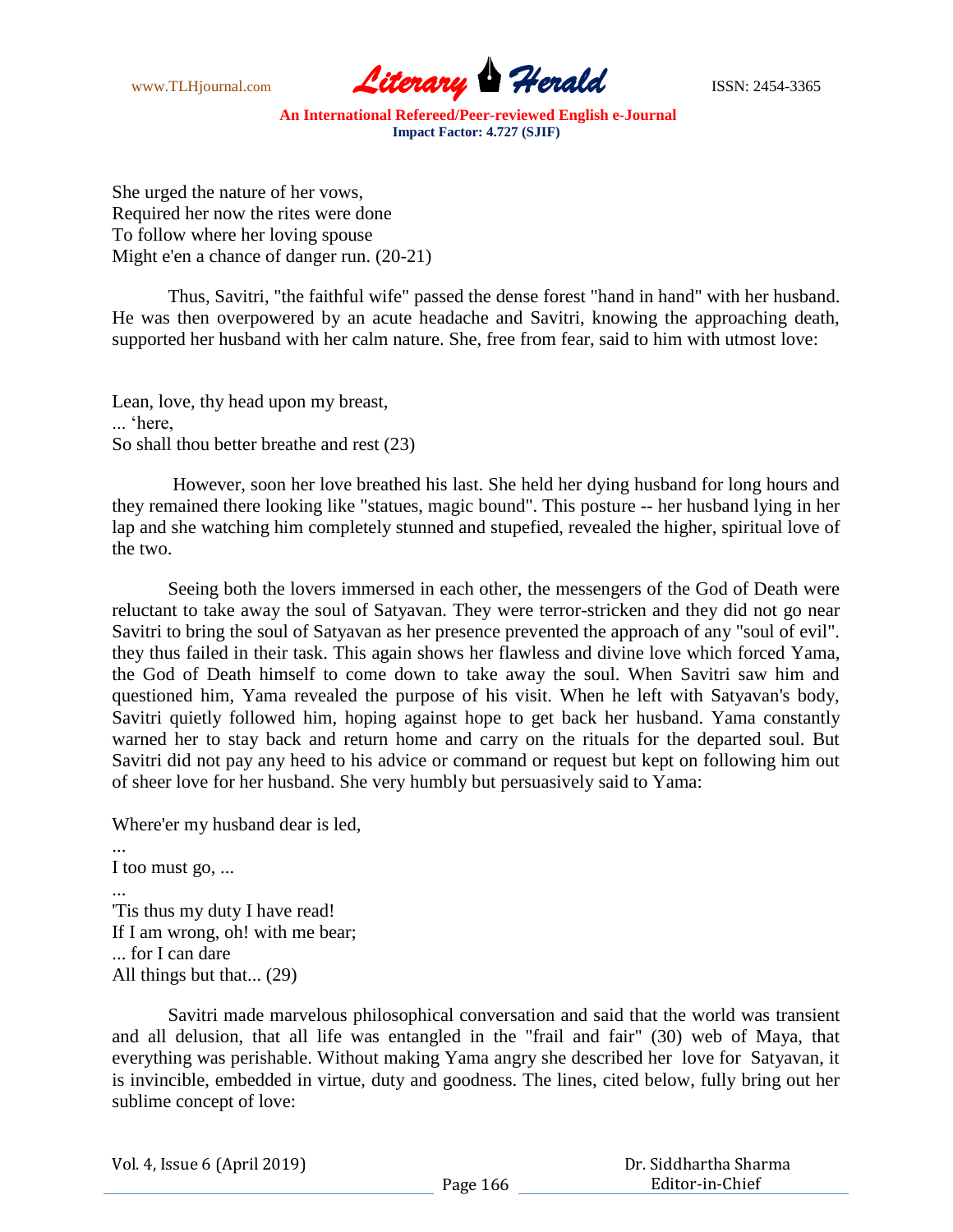

She urged the nature of her vows, Required her now the rites were done To follow where her loving spouse Might e'en a chance of danger run. (20-21)

Thus, Savitri, "the faithful wife" passed the dense forest "hand in hand" with her husband. He was then overpowered by an acute headache and Savitri, knowing the approaching death, supported her husband with her calm nature. She, free from fear, said to him with utmost love:

Lean, love, thy head upon my breast, ... "here, So shall thou better breathe and rest (23)

However, soon her love breathed his last. She held her dying husband for long hours and they remained there looking like "statues, magic bound". This posture -- her husband lying in her lap and she watching him completely stunned and stupefied, revealed the higher, spiritual love of the two.

Seeing both the lovers immersed in each other, the messengers of the God of Death were reluctant to take away the soul of Satyavan. They were terror-stricken and they did not go near Savitri to bring the soul of Satyavan as her presence prevented the approach of any "soul of evil". they thus failed in their task. This again shows her flawless and divine love which forced Yama, the God of Death himself to come down to take away the soul. When Savitri saw him and questioned him, Yama revealed the purpose of his visit. When he left with Satyavan's body, Savitri quietly followed him, hoping against hope to get back her husband. Yama constantly warned her to stay back and return home and carry on the rituals for the departed soul. But Savitri did not pay any heed to his advice or command or request but kept on following him out of sheer love for her husband. She very humbly but persuasively said to Yama:

Where'er my husband dear is led,

... I too must go, ... ... 'Tis thus my duty I have read! If I am wrong, oh! with me bear; ... for I can dare All things but that... (29)

Savitri made marvelous philosophical conversation and said that the world was transient and all delusion, that all life was entangled in the "frail and fair" (30) web of Maya, that everything was perishable. Without making Yama angry she described her love for Satyavan, it is invincible, embedded in virtue, duty and goodness. The lines, cited below, fully bring out her sublime concept of love:

Vol. 4, Issue 6 (April 2019)

 Dr. Siddhartha Sharma Editor-in-Chief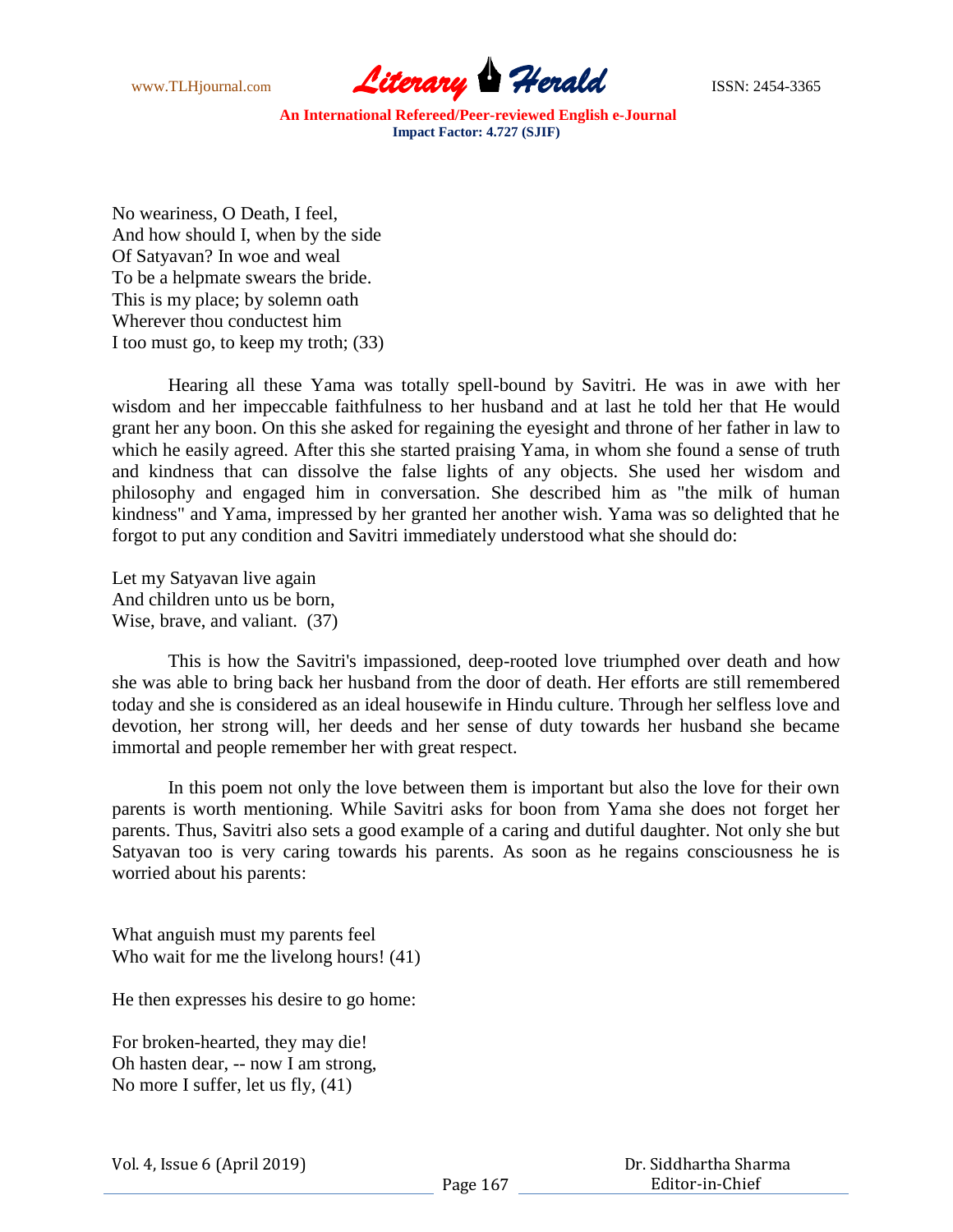

No weariness, O Death, I feel, And how should I, when by the side Of Satyavan? In woe and weal To be a helpmate swears the bride. This is my place; by solemn oath Wherever thou conductest him I too must go, to keep my troth; (33)

Hearing all these Yama was totally spell-bound by Savitri. He was in awe with her wisdom and her impeccable faithfulness to her husband and at last he told her that He would grant her any boon. On this she asked for regaining the eyesight and throne of her father in law to which he easily agreed. After this she started praising Yama, in whom she found a sense of truth and kindness that can dissolve the false lights of any objects. She used her wisdom and philosophy and engaged him in conversation. She described him as "the milk of human kindness" and Yama, impressed by her granted her another wish. Yama was so delighted that he forgot to put any condition and Savitri immediately understood what she should do:

Let my Satyavan live again And children unto us be born, Wise, brave, and valiant. (37)

This is how the Savitri's impassioned, deep-rooted love triumphed over death and how she was able to bring back her husband from the door of death. Her efforts are still remembered today and she is considered as an ideal housewife in Hindu culture. Through her selfless love and devotion, her strong will, her deeds and her sense of duty towards her husband she became immortal and people remember her with great respect.

In this poem not only the love between them is important but also the love for their own parents is worth mentioning. While Savitri asks for boon from Yama she does not forget her parents. Thus, Savitri also sets a good example of a caring and dutiful daughter. Not only she but Satyavan too is very caring towards his parents. As soon as he regains consciousness he is worried about his parents:

What anguish must my parents feel Who wait for me the livelong hours! (41)

He then expresses his desire to go home:

For broken-hearted, they may die! Oh hasten dear, -- now I am strong, No more I suffer, let us fly, (41)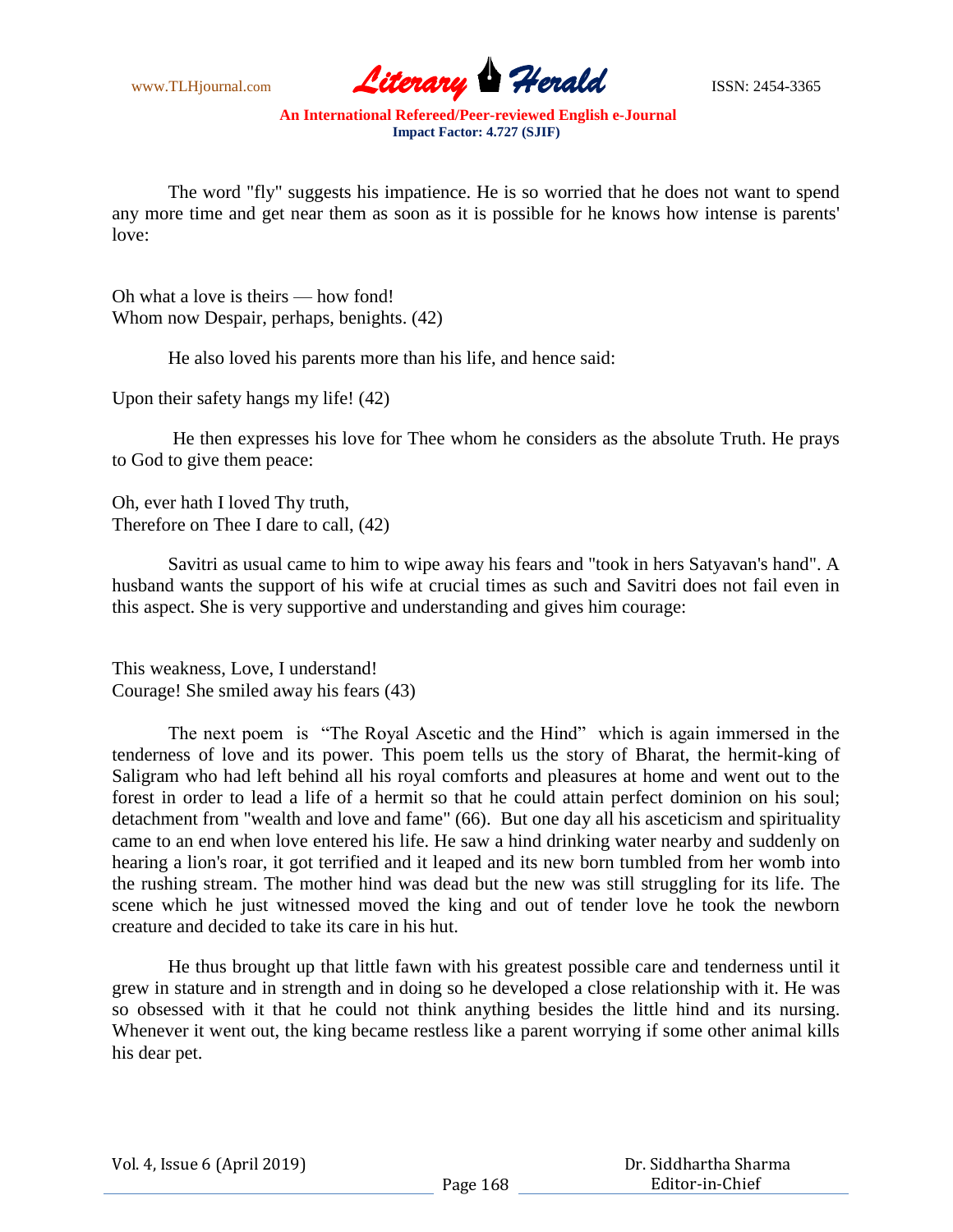

The word "fly" suggests his impatience. He is so worried that he does not want to spend any more time and get near them as soon as it is possible for he knows how intense is parents' love:

Oh what a love is theirs — how fond! Whom now Despair, perhaps, benights. (42)

He also loved his parents more than his life, and hence said:

Upon their safety hangs my life! (42)

He then expresses his love for Thee whom he considers as the absolute Truth. He prays to God to give them peace:

Oh, ever hath I loved Thy truth, Therefore on Thee I dare to call, (42)

Savitri as usual came to him to wipe away his fears and "took in hers Satyavan's hand". A husband wants the support of his wife at crucial times as such and Savitri does not fail even in this aspect. She is very supportive and understanding and gives him courage:

This weakness, Love, I understand! Courage! She smiled away his fears (43)

The next poem is "The Royal Ascetic and the Hind" which is again immersed in the tenderness of love and its power. This poem tells us the story of Bharat, the hermit-king of Saligram who had left behind all his royal comforts and pleasures at home and went out to the forest in order to lead a life of a hermit so that he could attain perfect dominion on his soul; detachment from "wealth and love and fame" (66). But one day all his asceticism and spirituality came to an end when love entered his life. He saw a hind drinking water nearby and suddenly on hearing a lion's roar, it got terrified and it leaped and its new born tumbled from her womb into the rushing stream. The mother hind was dead but the new was still struggling for its life. The scene which he just witnessed moved the king and out of tender love he took the newborn creature and decided to take its care in his hut.

He thus brought up that little fawn with his greatest possible care and tenderness until it grew in stature and in strength and in doing so he developed a close relationship with it. He was so obsessed with it that he could not think anything besides the little hind and its nursing. Whenever it went out, the king became restless like a parent worrying if some other animal kills his dear pet.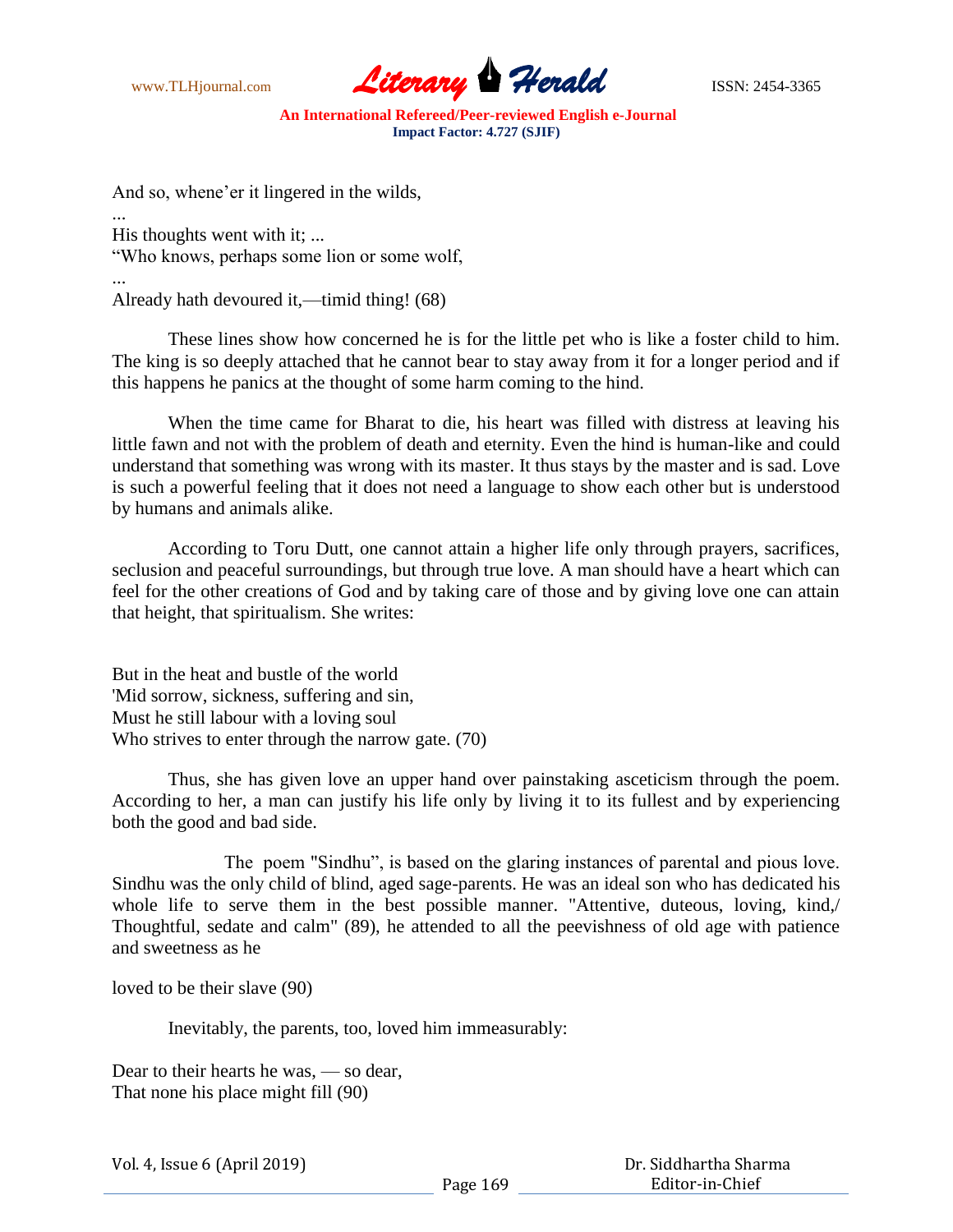

And so, whene'er it lingered in the wilds,

... His thoughts went with it; ... "Who knows, perhaps some lion or some wolf,

... Already hath devoured it,—timid thing! (68)

These lines show how concerned he is for the little pet who is like a foster child to him. The king is so deeply attached that he cannot bear to stay away from it for a longer period and if this happens he panics at the thought of some harm coming to the hind.

When the time came for Bharat to die, his heart was filled with distress at leaving his little fawn and not with the problem of death and eternity. Even the hind is human-like and could understand that something was wrong with its master. It thus stays by the master and is sad. Love is such a powerful feeling that it does not need a language to show each other but is understood by humans and animals alike.

According to Toru Dutt, one cannot attain a higher life only through prayers, sacrifices, seclusion and peaceful surroundings, but through true love. A man should have a heart which can feel for the other creations of God and by taking care of those and by giving love one can attain that height, that spiritualism. She writes:

But in the heat and bustle of the world 'Mid sorrow, sickness, suffering and sin, Must he still labour with a loving soul Who strives to enter through the narrow gate. (70)

Thus, she has given love an upper hand over painstaking asceticism through the poem. According to her, a man can justify his life only by living it to its fullest and by experiencing both the good and bad side.

The poem "Sindhu", is based on the glaring instances of parental and pious love. Sindhu was the only child of blind, aged sage-parents. He was an ideal son who has dedicated his whole life to serve them in the best possible manner. "Attentive, duteous, loving, kind,/ Thoughtful, sedate and calm" (89), he attended to all the peevishness of old age with patience and sweetness as he

loved to be their slave (90)

Inevitably, the parents, too, loved him immeasurably:

Dear to their hearts he was, — so dear, That none his place might fill (90)

| Vol. 4, Issue 6 (April 2019) |  |  |
|------------------------------|--|--|
|------------------------------|--|--|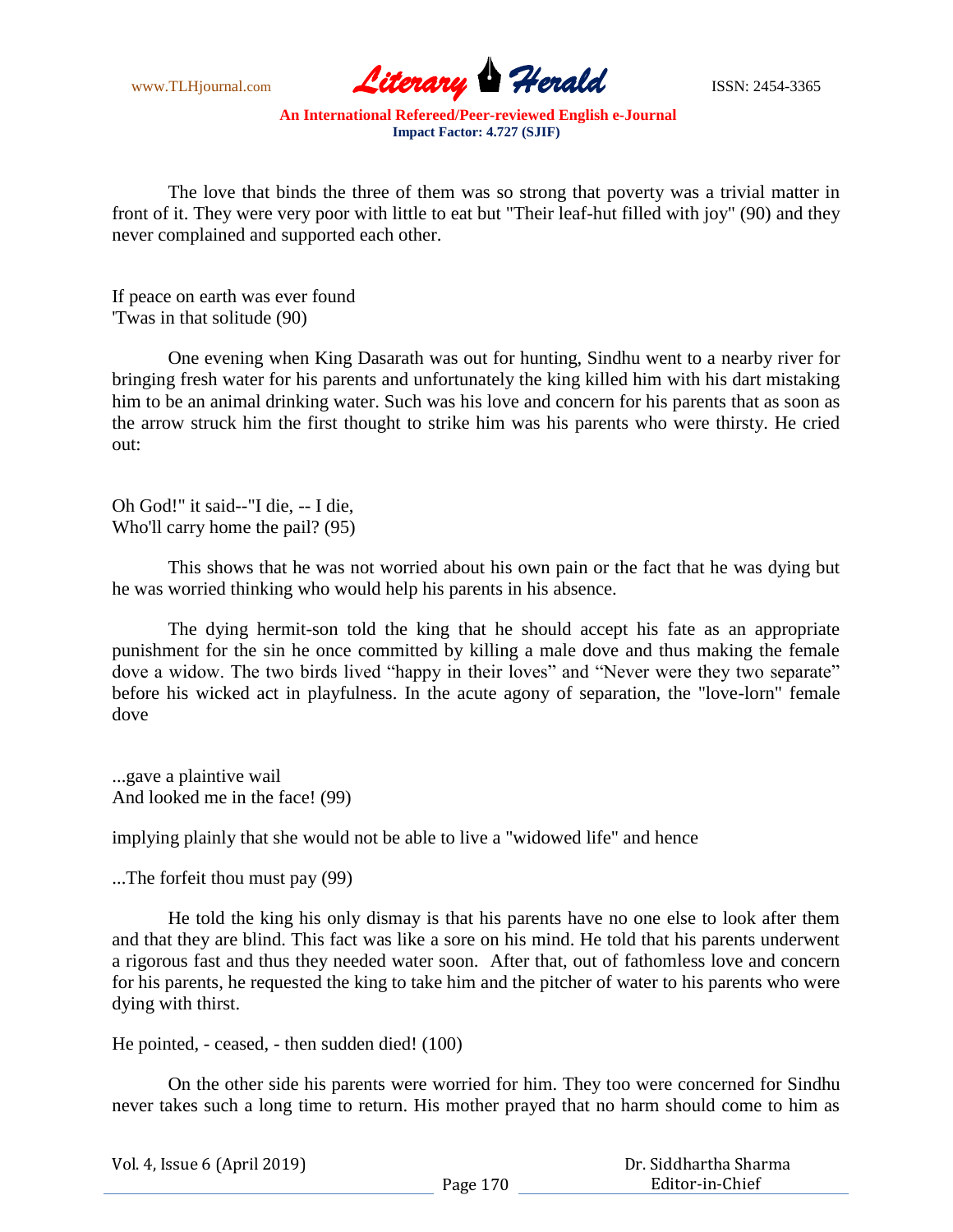

The love that binds the three of them was so strong that poverty was a trivial matter in front of it. They were very poor with little to eat but "Their leaf-hut filled with joy" (90) and they never complained and supported each other.

If peace on earth was ever found 'Twas in that solitude (90)

One evening when King Dasarath was out for hunting, Sindhu went to a nearby river for bringing fresh water for his parents and unfortunately the king killed him with his dart mistaking him to be an animal drinking water. Such was his love and concern for his parents that as soon as the arrow struck him the first thought to strike him was his parents who were thirsty. He cried out:

Oh God!" it said--"I die, -- I die, Who'll carry home the pail? (95)

This shows that he was not worried about his own pain or the fact that he was dying but he was worried thinking who would help his parents in his absence.

The dying hermit-son told the king that he should accept his fate as an appropriate punishment for the sin he once committed by killing a male dove and thus making the female dove a widow. The two birds lived "happy in their loves" and "Never were they two separate" before his wicked act in playfulness. In the acute agony of separation, the "love-lorn" female dove

...gave a plaintive wail And looked me in the face! (99)

implying plainly that she would not be able to live a "widowed life" and hence

...The forfeit thou must pay (99)

He told the king his only dismay is that his parents have no one else to look after them and that they are blind. This fact was like a sore on his mind. He told that his parents underwent a rigorous fast and thus they needed water soon. After that, out of fathomless love and concern for his parents, he requested the king to take him and the pitcher of water to his parents who were dying with thirst.

He pointed, - ceased, - then sudden died! (100)

On the other side his parents were worried for him. They too were concerned for Sindhu never takes such a long time to return. His mother prayed that no harm should come to him as

| Vol. 4, Issue 6 (April 2019) |          | Dr. Siddhartha Sharma |
|------------------------------|----------|-----------------------|
|                              | Page 170 | Editor-in-Chief       |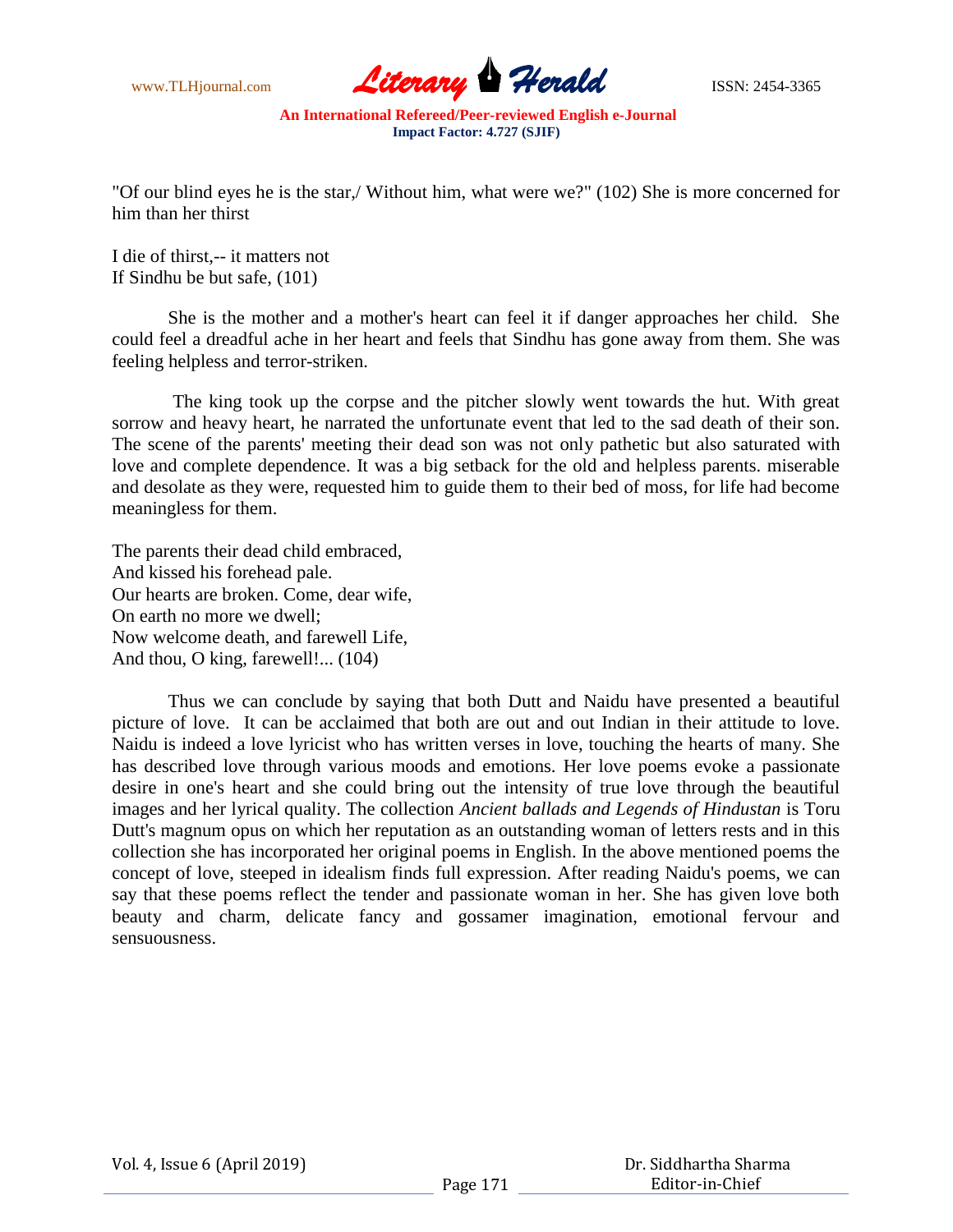

"Of our blind eyes he is the star,/ Without him, what were we?" (102) She is more concerned for him than her thirst

I die of thirst,-- it matters not If Sindhu be but safe, (101)

She is the mother and a mother's heart can feel it if danger approaches her child. She could feel a dreadful ache in her heart and feels that Sindhu has gone away from them. She was feeling helpless and terror-striken.

The king took up the corpse and the pitcher slowly went towards the hut. With great sorrow and heavy heart, he narrated the unfortunate event that led to the sad death of their son. The scene of the parents' meeting their dead son was not only pathetic but also saturated with love and complete dependence. It was a big setback for the old and helpless parents. miserable and desolate as they were, requested him to guide them to their bed of moss, for life had become meaningless for them.

The parents their dead child embraced, And kissed his forehead pale. Our hearts are broken. Come, dear wife, On earth no more we dwell; Now welcome death, and farewell Life, And thou, O king, farewell!... (104)

Thus we can conclude by saying that both Dutt and Naidu have presented a beautiful picture of love. It can be acclaimed that both are out and out Indian in their attitude to love. Naidu is indeed a love lyricist who has written verses in love, touching the hearts of many. She has described love through various moods and emotions. Her love poems evoke a passionate desire in one's heart and she could bring out the intensity of true love through the beautiful images and her lyrical quality. The collection *Ancient ballads and Legends of Hindustan* is Toru Dutt's magnum opus on which her reputation as an outstanding woman of letters rests and in this collection she has incorporated her original poems in English. In the above mentioned poems the concept of love, steeped in idealism finds full expression. After reading Naidu's poems, we can say that these poems reflect the tender and passionate woman in her. She has given love both beauty and charm, delicate fancy and gossamer imagination, emotional fervour and sensuousness.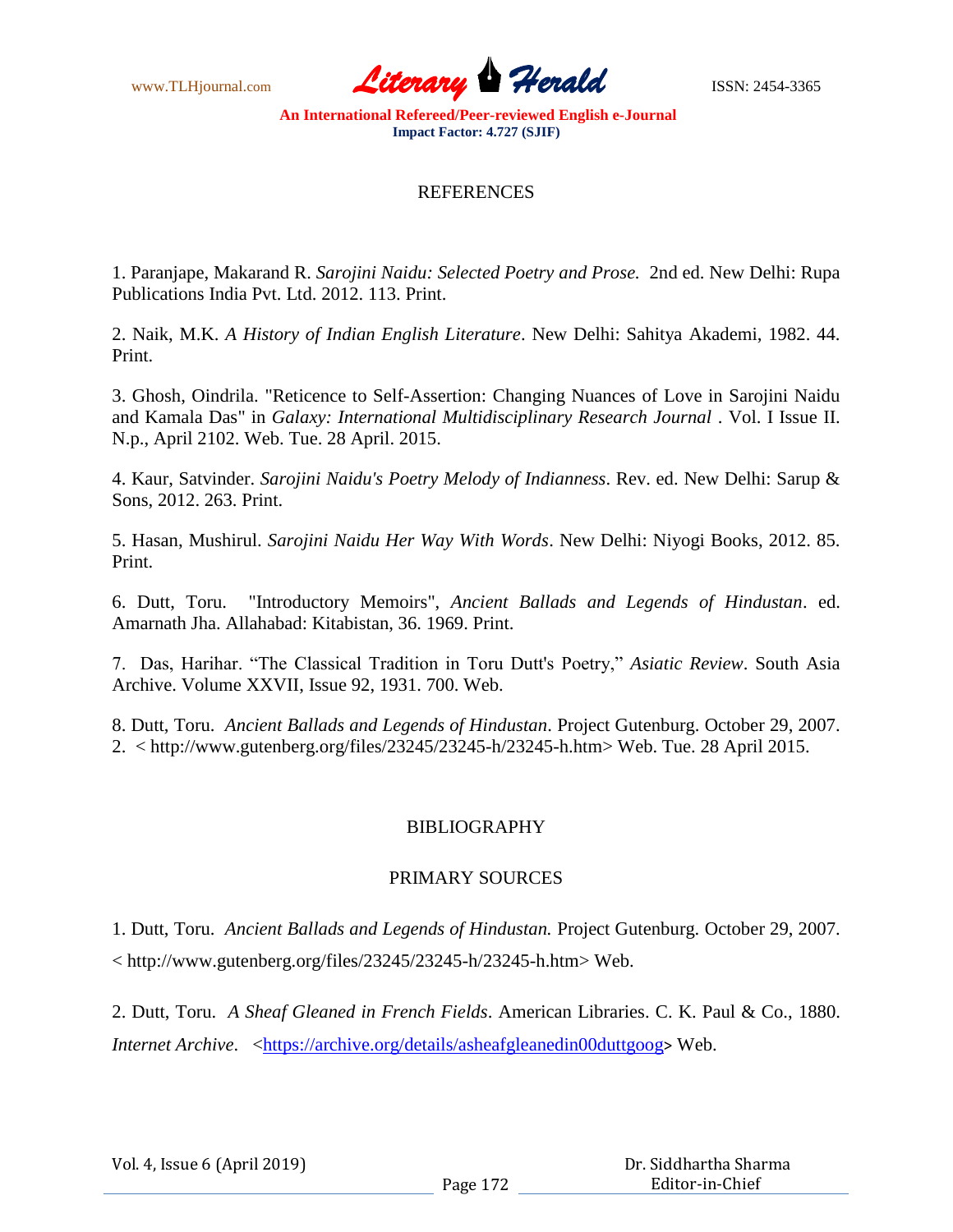www.TLHjournal.com **Literary Herald Herald** ISSN: 2454-3365

## **REFERENCES**

1. Paranjape, Makarand R. *Sarojini Naidu: Selected Poetry and Prose.* 2nd ed. New Delhi: Rupa Publications India Pvt. Ltd. 2012. 113. Print.

2. Naik, M.K. *A History of Indian English Literature*. New Delhi: Sahitya Akademi, 1982. 44. Print.

3. Ghosh, Oindrila. "Reticence to Self-Assertion: Changing Nuances of Love in Sarojini Naidu and Kamala Das" in *Galaxy: International Multidisciplinary Research Journal* . Vol. I Issue II. N.p., April 2102. Web. Tue. 28 April. 2015.

4. Kaur, Satvinder. *Sarojini Naidu's Poetry Melody of Indianness*. Rev. ed. New Delhi: Sarup & Sons, 2012. 263. Print.

5. Hasan, Mushirul. *Sarojini Naidu Her Way With Words*. New Delhi: Niyogi Books, 2012. 85. Print.

6. Dutt, Toru. "Introductory Memoirs", *Ancient Ballads and Legends of Hindustan*. ed. Amarnath Jha. Allahabad: Kitabistan, 36. 1969. Print.

7. Das, Harihar. "The Classical Tradition in Toru Dutt's Poetry," *Asiatic Review*. South Asia Archive. Volume XXVII, Issue 92, 1931. 700. Web.

8. Dutt, Toru. *Ancient Ballads and Legends of Hindustan*. Project Gutenburg. October 29, 2007. 2. < http://www.gutenberg.org/files/23245/23245-h/23245-h.htm> Web. Tue. 28 April 2015.

## BIBLIOGRAPHY

## PRIMARY SOURCES

1. Dutt, Toru. *Ancient Ballads and Legends of Hindustan.* Project Gutenburg. October 29, 2007. < http://www.gutenberg.org/files/23245/23245-h/23245-h.htm> Web.

2. Dutt, Toru. *A Sheaf Gleaned in French Fields*. American Libraries. C. K. Paul & Co., 1880. *Internet Archive.* <https://archive.org/details/asheafgleanedin00duttgoog> Web.